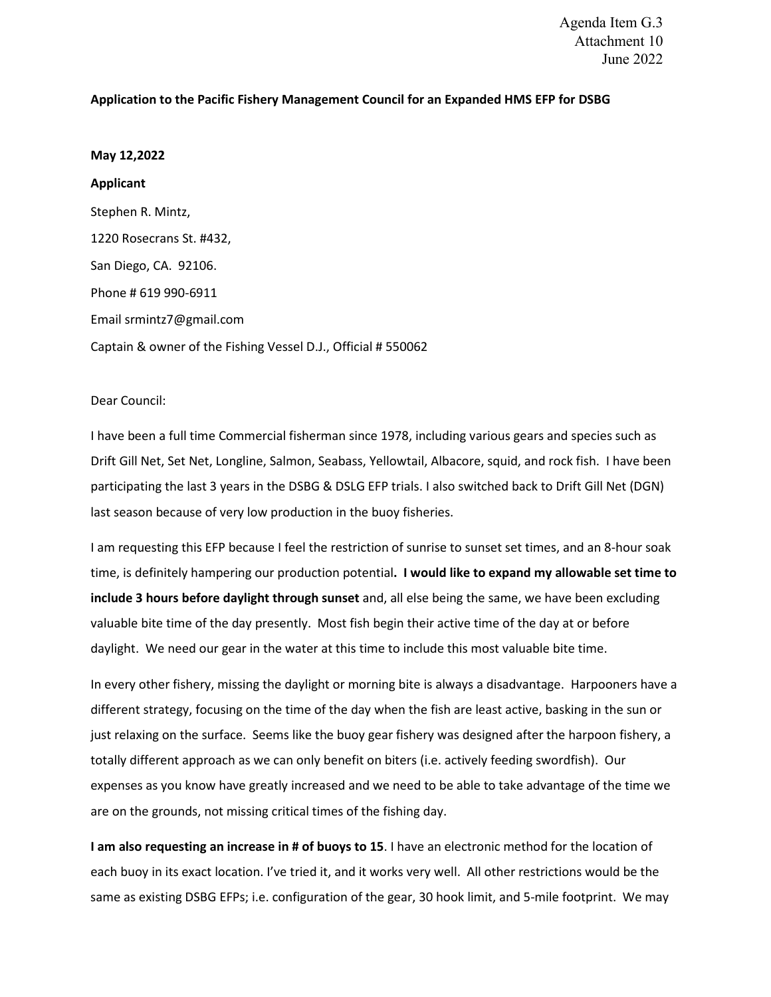## **Application to the Pacific Fishery Management Council for an Expanded HMS EFP for DSBG**

## **May 12,2022**

**Applicant** Stephen R. Mintz, 1220 Rosecrans St. #432, San Diego, CA. 92106. Phone # 619 990-6911 Email srmintz7@gmail.com Captain & owner of the Fishing Vessel D.J., Official # 550062

## Dear Council:

I have been a full time Commercial fisherman since 1978, including various gears and species such as Drift Gill Net, Set Net, Longline, Salmon, Seabass, Yellowtail, Albacore, squid, and rock fish. I have been participating the last 3 years in the DSBG & DSLG EFP trials. I also switched back to Drift Gill Net (DGN) last season because of very low production in the buoy fisheries.

I am requesting this EFP because I feel the restriction of sunrise to sunset set times, and an 8-hour soak time, is definitely hampering our production potential**. I would like to expand my allowable set time to include 3 hours before daylight through sunset** and, all else being the same, we have been excluding valuable bite time of the day presently. Most fish begin their active time of the day at or before daylight. We need our gear in the water at this time to include this most valuable bite time.

In every other fishery, missing the daylight or morning bite is always a disadvantage. Harpooners have a different strategy, focusing on the time of the day when the fish are least active, basking in the sun or just relaxing on the surface. Seems like the buoy gear fishery was designed after the harpoon fishery, a totally different approach as we can only benefit on biters (i.e. actively feeding swordfish). Our expenses as you know have greatly increased and we need to be able to take advantage of the time we are on the grounds, not missing critical times of the fishing day.

**I am also requesting an increase in # of buoys to 15**. I have an electronic method for the location of each buoy in its exact location. I've tried it, and it works very well. All other restrictions would be the same as existing DSBG EFPs; i.e. configuration of the gear, 30 hook limit, and 5-mile footprint. We may